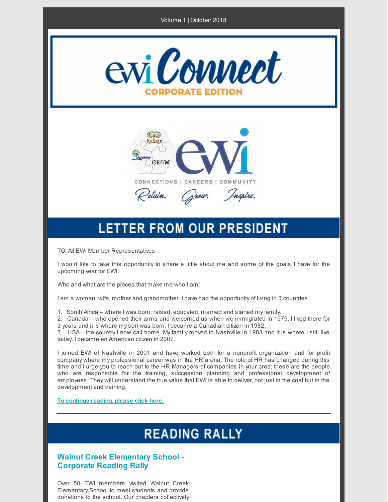#### Volume 1 | October 2018





## **LETTER FROM OUR PRESIDENT**

TO: All EWI Member Representatives

I would like to take this opportunity to share a little about me and some of the goals I have for the upcoming year for EWI.

Who and what are the pieces that make me who I am:

I am a woman, wife, mother and grandmother. I have had the opportunity of living in 3 countries.

1. South Africa – where I was born, raised, educated, married and started myfamily.

2. Canada – who opened their arms and welcomed us when we immigrated in 1979. I lived there for 3 years and it is where myson was born. I became a Canadian citizen in 1982.

3. USA– the country I now call home. My family moved to Nashville in 1983 and it is where I still live today. I became an American citizen in 2007.

I joined EWI of Nashville in 2001 and have worked both for a nonprofit organization and for profit company where my professional career was in the HR arena. The role of HR has changed during this time and I urge you to reach out to the HR Managers of companies in your area; these are the people who are responsible for the training, succession planning and professional development of employees. They will understand the true value that EWI is able to deliver, not just in the cost but in the development and training.

**To [continue](http://files.constantcontact.com/11dfb6d8001/14133052-1492-467e-8870-40533f0d9944.pdf) reading, please click here.**

# **READING RALLY**

### **Walnut Creek Elementary School - Corporate Reading Rally**

Over 50 EWI members visited Walnut Creek Elementary School to meet students and provide donations to the school. Our chapters collectively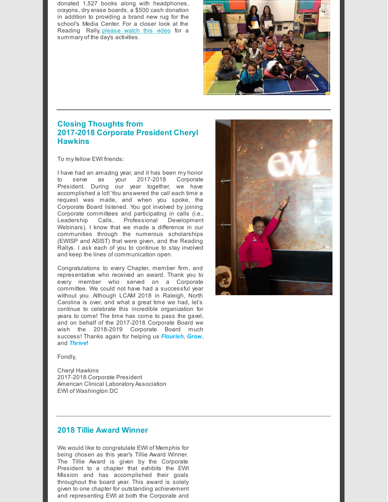donated 1,527 books along with headphones, crayons, dry erase boards, a \$500 cash donation in addition to providing a brand new rug for the school's Media Center. For a closer look at the Reading Rally, [please](https://app.memberzone.com/mic/Resources/Download/1502?memId=-1&repId=4708&micVersion=4) watch this video for a summary of the day's activities.



## **Closing Thoughts from 2017-2018 Corporate President Cheryl Hawkins**

To myfellow EWI friends:

I have had an amazing year, and it has been my honor to serve as your 2017-2018 Corporate President. During our year together, we have accomplished a lot! You answered the call each time a request was made, and when you spoke, the Corporate Board listened. You got involved by joining Corporate committees and participating in calls (i.e., Leadership Calls, Professional Development Webinars). I know that we made a difference in our communities through the numerous scholarships (EWISP and ASIST) that were given, and the Reading Rallys. I ask each of you to continue to stay involved and keep the lines of communication open.

Congratulations to every Chapter, member firm, and representative who received an award. Thank you to every member who served on a Corporate committee. We could not have had a successful year without you. Although LCAM 2018 in Raleigh, North Carolina is over, and what a great time we had, let's continue to celebrate this incredible organization for years to come! The time has come to pass the gavel, and on behalf of the 2017-2018 Corporate Board we wish the 2018-2019 Corporate Board much success! Thanks again for helping us *Flourish*, *Grow*, and *Thrive*!

Fondly,

Cheryl Hawkins 2017-2018 Corporate President American Clinical Laboratory Association EWI of Washington DC



### **2018 Tillie Award Winner**

We would like to congratulate EWI of Memphis for being chosen as this year's Tillie Award Winner. The Tillie Award is given by the Corporate President to a chapter that exhibits the EWI Mission and has accomplished their goals throughout the board year. This award is solely given to one chapter for outstanding achievement and representing EWI at both the Corporate and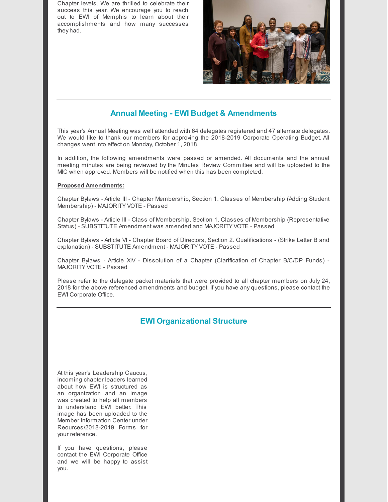Chapter levels. We are thrilled to celebrate their success this year. We encourage you to reach out to EWI of Memphis to learn about their accomplishments and how many successes they had.



## **Annual Meeting - EWI Budget & Amendments**

This year's Annual Meeting was well attended with 64 delegates registered and 47 alternate delegates. We would like to thank our members for approving the 2018-2019 Corporate Operating Budget. All changes went into effect on Monday, October 1, 2018.

In addition, the following amendments were passed or amended. All documents and the annual meeting minutes are being reviewed by the Minutes Review Committee and will be uploaded to the MIC when approved. Members will be notified when this has been completed.

#### **Proposed Amendments:**

Chapter Bylaws - Article III - Chapter Membership, Section 1. Classes of Membership (Adding Student Membership) - MAJORITY VOTE - Passed

Chapter Bylaws - Article III - Class of Membership, Section 1. Classes of Membership (Representative Status) - SUBSTITUTE Amendment was amended and MAJORITY VOTE - Passed

Chapter Bylaws - Article VI - Chapter Board of Directors, Section 2. Qualifications - (Strike Letter B and explanation) - SUBSTITUTE Amendment - MAJORITY VOTE - Passed

Chapter Bylaws - Article XIV - Dissolution of a Chapter (Clarification of Chapter B/C/DP Funds) - MAJORITY VOTE - Passed

Please refer to the delegate packet materials that were provided to all chapter members on July 24, 2018 for the above referenced amendments and budget. If you have any questions, please contact the EWI Corporate Office.

## **EWI Organizational Structure**

At this year's Leadership Caucus, incoming chapter leaders learned about how EWI is structured as an organization and an image was created to help all members to understand EWI better. This image has been uploaded to the Member Information Center under Reources/2018-2019 Forms for your reference.

If you have questions, please contact the EWI Corporate Office and we will be happy to assist you.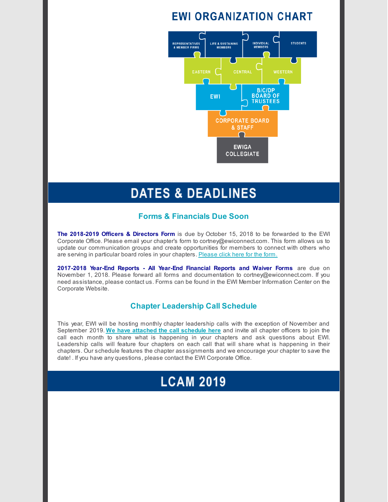## **EWI ORGANIZATION CHART**



## **DATES & DEADLINES**

### **Forms & Financials Due Soon**

**The 2018-2019 Officers & Directors Form** is due by October 15, 2018 to be forwarded to the EWI Corporate Office. Please email your chapter's form to cortney@ewiconnect.com. This form allows us to update our communication groups and create opportunities for members to connect with others who are serving in particular board roles in your chapters. [Please](https://app.memberzone.com/mic/Resources/Download/358?memId=-1&repId=4708) click here for the form.

**2017-2018 Year-End Reports - All Year-End Financial Reports and Waiver Forms** are due on November 1, 2018. Please forward all forms and documentation to cortney@ewiconnect.com. If you need assistance, please contact us. Forms can be found in the EWI Member Information Center on the Corporate Website.

### **Chapter Leadership Call Schedule**

This year, EWI will be hosting monthly chapter leadership calls with the exception of November and September 2019. **We have attached the call [schedule](https://app.memberzone.com/mic/Resources/Download/1503?memId=-1&repId=4708&micVersion=4) here** and invite all chapter officers to join the call each month to share what is happening in your chapters and ask questions about EWI. Leadership calls will feature four chapters on each call that will share what is happening in their chapters. Our schedule features the chapter asssignments and we encourage your chapter to save the date! . If you have any questions, please contact the EWI Corporate Office.

# **LCAM 2019**